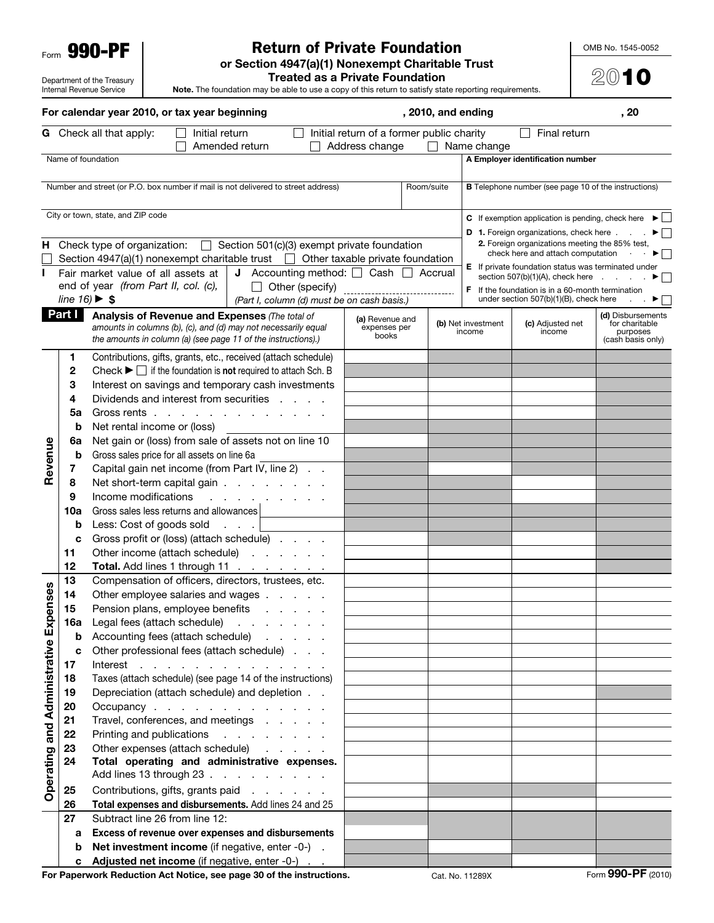Form 990-PF

Department of the Treasury Internal Revenue Service

## Return of Private Foundation

OMB No. 1545-0052

2010

or Section 4947(a)(1) Nonexempt Charitable Trust

Treated as a Private Foundation

Note. The foundation may be able to use a copy of this return to satisfy state reporting requirements.

|                                 |                                      | For calendar year 2010, or tax year beginning                                                                                                                                |                                                             |            | , 2010, and ending |                              |                                                                                                             | , 20                                            |
|---------------------------------|--------------------------------------|------------------------------------------------------------------------------------------------------------------------------------------------------------------------------|-------------------------------------------------------------|------------|--------------------|------------------------------|-------------------------------------------------------------------------------------------------------------|-------------------------------------------------|
|                                 |                                      | <b>G</b> Check all that apply:<br>Initial return<br>Amended return                                                                                                           | Initial return of a former public charity<br>Address change |            |                    | $\Box$ Name change           | Final return                                                                                                |                                                 |
|                                 |                                      | Name of foundation                                                                                                                                                           |                                                             |            |                    |                              | A Employer identification number                                                                            |                                                 |
|                                 |                                      |                                                                                                                                                                              |                                                             |            |                    |                              |                                                                                                             |                                                 |
|                                 |                                      | Number and street (or P.O. box number if mail is not delivered to street address)                                                                                            |                                                             | Room/suite |                    |                              | <b>B</b> Telephone number (see page 10 of the instructions)                                                 |                                                 |
|                                 |                                      | City or town, state, and ZIP code                                                                                                                                            |                                                             |            |                    |                              | <b>C</b> If exemption application is pending, check here $\blacktriangleright$                              |                                                 |
|                                 |                                      |                                                                                                                                                                              |                                                             |            |                    |                              | <b>D</b> 1. Foreign organizations, check here $\blacksquare$                                                |                                                 |
|                                 |                                      | $\Box$ Section 501(c)(3) exempt private foundation<br>H Check type of organization:<br>Section 4947(a)(1) nonexempt charitable trust $\Box$ Other taxable private foundation |                                                             |            |                    |                              | 2. Foreign organizations meeting the 85% test,<br>check here and attach computation                         | ►∣∴                                             |
| L                               |                                      | <b>J</b> Accounting method: $\Box$ Cash $\Box$ Accrual<br>Fair market value of all assets at                                                                                 |                                                             |            |                    |                              | <b>E</b> If private foundation status was terminated under                                                  |                                                 |
|                                 |                                      | end of year (from Part II, col. (c),<br>Other (specify)                                                                                                                      |                                                             |            |                    |                              | section 507(b)(1)(A), check here $\qquad \qquad$<br><b>F</b> If the foundation is in a 60-month termination |                                                 |
|                                 | line $16$ ) $\blacktriangleright$ \$ | (Part I, column (d) must be on cash basis.)                                                                                                                                  |                                                             |            |                    |                              | under section 507(b)(1)(B), check here                                                                      |                                                 |
|                                 | Part I                               | Analysis of Revenue and Expenses (The total of                                                                                                                               | (a) Revenue and                                             |            |                    |                              |                                                                                                             | (d) Disbursements                               |
|                                 |                                      | amounts in columns (b), (c), and (d) may not necessarily equal<br>the amounts in column (a) (see page 11 of the instructions).)                                              | expenses per<br>books                                       |            |                    | (b) Net investment<br>income | (c) Adjusted net<br>income                                                                                  | for charitable<br>purposes<br>(cash basis only) |
|                                 | 1                                    | Contributions, gifts, grants, etc., received (attach schedule)                                                                                                               |                                                             |            |                    |                              |                                                                                                             |                                                 |
|                                 | 2                                    | Check $\blacktriangleright \Box$ if the foundation is <b>not</b> required to attach Sch. B                                                                                   |                                                             |            |                    |                              |                                                                                                             |                                                 |
|                                 | 3                                    | Interest on savings and temporary cash investments                                                                                                                           |                                                             |            |                    |                              |                                                                                                             |                                                 |
|                                 | 4                                    | Dividends and interest from securities                                                                                                                                       |                                                             |            |                    |                              |                                                                                                             |                                                 |
|                                 | 5a                                   | Gross rents                                                                                                                                                                  |                                                             |            |                    |                              |                                                                                                             |                                                 |
|                                 | b                                    | Net rental income or (loss)                                                                                                                                                  |                                                             |            |                    |                              |                                                                                                             |                                                 |
|                                 | 6a                                   | Net gain or (loss) from sale of assets not on line 10                                                                                                                        |                                                             |            |                    |                              |                                                                                                             |                                                 |
|                                 | b                                    | Gross sales price for all assets on line 6a                                                                                                                                  |                                                             |            |                    |                              |                                                                                                             |                                                 |
| Revenue                         | 7                                    | Capital gain net income (from Part IV, line 2)                                                                                                                               |                                                             |            |                    |                              |                                                                                                             |                                                 |
|                                 | 8                                    | Net short-term capital gain                                                                                                                                                  |                                                             |            |                    |                              |                                                                                                             |                                                 |
|                                 | 9                                    | Income modifications<br>and a state of the                                                                                                                                   |                                                             |            |                    |                              |                                                                                                             |                                                 |
|                                 | 10a                                  | Gross sales less returns and allowances                                                                                                                                      |                                                             |            |                    |                              |                                                                                                             |                                                 |
|                                 | b                                    | Less: Cost of goods sold                                                                                                                                                     |                                                             |            |                    |                              |                                                                                                             |                                                 |
|                                 | c                                    | Gross profit or (loss) (attach schedule)                                                                                                                                     |                                                             |            |                    |                              |                                                                                                             |                                                 |
|                                 | 11                                   | Other income (attach schedule)                                                                                                                                               |                                                             |            |                    |                              |                                                                                                             |                                                 |
|                                 | 12                                   | Total. Add lines 1 through 11                                                                                                                                                |                                                             |            |                    |                              |                                                                                                             |                                                 |
|                                 | 13<br>14                             | Compensation of officers, directors, trustees, etc.                                                                                                                          |                                                             |            |                    |                              |                                                                                                             |                                                 |
| penses                          | 15                                   | Other employee salaries and wages<br>Pension plans, employee benefits                                                                                                        |                                                             |            |                    |                              |                                                                                                             |                                                 |
|                                 | 16a                                  | Legal fees (attach schedule)                                                                                                                                                 |                                                             |            |                    |                              |                                                                                                             |                                                 |
|                                 | b                                    | and a state of the state of<br>Accounting fees (attach schedule)<br>and a state of                                                                                           |                                                             |            |                    |                              |                                                                                                             |                                                 |
|                                 | c                                    | Other professional fees (attach schedule)                                                                                                                                    |                                                             |            |                    |                              |                                                                                                             |                                                 |
|                                 | 17                                   | Interest<br>and the contract of the contract of the con-                                                                                                                     |                                                             |            |                    |                              |                                                                                                             |                                                 |
|                                 | 18                                   | Taxes (attach schedule) (see page 14 of the instructions)                                                                                                                    |                                                             |            |                    |                              |                                                                                                             |                                                 |
|                                 | 19                                   | Depreciation (attach schedule) and depletion                                                                                                                                 |                                                             |            |                    |                              |                                                                                                             |                                                 |
|                                 | 20                                   | Occupancy                                                                                                                                                                    |                                                             |            |                    |                              |                                                                                                             |                                                 |
|                                 | 21                                   | Travel, conferences, and meetings                                                                                                                                            |                                                             |            |                    |                              |                                                                                                             |                                                 |
|                                 | 22                                   | Printing and publications<br>and a state of the state of                                                                                                                     |                                                             |            |                    |                              |                                                                                                             |                                                 |
|                                 | 23                                   | Other expenses (attach schedule)<br>and the company of                                                                                                                       |                                                             |            |                    |                              |                                                                                                             |                                                 |
| Operating and Administrative Ex | 24                                   | Total operating and administrative expenses.<br>Add lines 13 through 23                                                                                                      |                                                             |            |                    |                              |                                                                                                             |                                                 |
|                                 | 25                                   | Contributions, gifts, grants paid<br>and a state of the                                                                                                                      |                                                             |            |                    |                              |                                                                                                             |                                                 |
|                                 | 26                                   | Total expenses and disbursements. Add lines 24 and 25                                                                                                                        |                                                             |            |                    |                              |                                                                                                             |                                                 |
|                                 | 27                                   | Subtract line 26 from line 12:                                                                                                                                               |                                                             |            |                    |                              |                                                                                                             |                                                 |
|                                 | а                                    | Excess of revenue over expenses and disbursements                                                                                                                            |                                                             |            |                    |                              |                                                                                                             |                                                 |
|                                 | b                                    | Net investment income (if negative, enter -0-).                                                                                                                              |                                                             |            |                    |                              |                                                                                                             |                                                 |
|                                 | c                                    | <b>Adjusted net income</b> (if negative, enter -0-)                                                                                                                          |                                                             |            |                    |                              |                                                                                                             |                                                 |
|                                 |                                      |                                                                                                                                                                              |                                                             |            |                    |                              |                                                                                                             | $000 \text{ } \text{DE}$ $(0010)$               |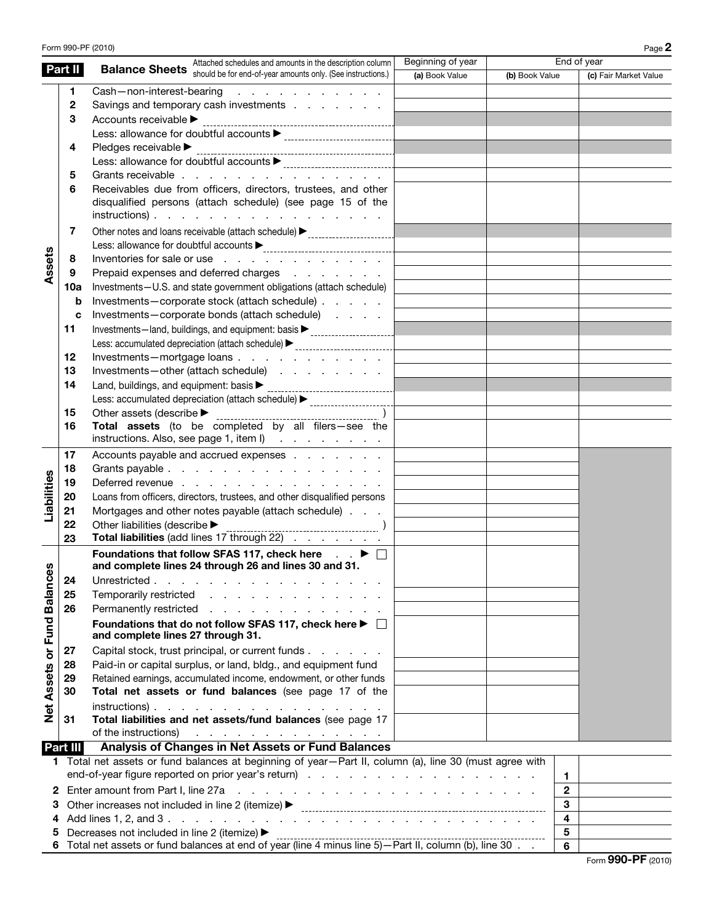|                             |          | Form 990-PF (2010)                                                                                                                                                                                                                                                                            |                   |                |                         | Page 2                |
|-----------------------------|----------|-----------------------------------------------------------------------------------------------------------------------------------------------------------------------------------------------------------------------------------------------------------------------------------------------|-------------------|----------------|-------------------------|-----------------------|
|                             | Part II  | Attached schedules and amounts in the description column                                                                                                                                                                                                                                      | Beginning of year |                | End of year             |                       |
|                             |          | <b>Balance Sheets</b> Should be for end-of-year amounts only. (See instructions.)                                                                                                                                                                                                             | (a) Book Value    | (b) Book Value |                         | (c) Fair Market Value |
|                             | 1        | Cash-non-interest-bearing<br>the contract of the contract of the                                                                                                                                                                                                                              |                   |                |                         |                       |
|                             | 2        | Savings and temporary cash investments                                                                                                                                                                                                                                                        |                   |                |                         |                       |
|                             | 3        | Accounts receivable >                                                                                                                                                                                                                                                                         |                   |                |                         |                       |
|                             |          |                                                                                                                                                                                                                                                                                               |                   |                |                         |                       |
|                             | 4        |                                                                                                                                                                                                                                                                                               |                   |                |                         |                       |
|                             |          |                                                                                                                                                                                                                                                                                               |                   |                |                         |                       |
|                             | 5        | Grants receivable                                                                                                                                                                                                                                                                             |                   |                |                         |                       |
|                             | 6        | Receivables due from officers, directors, trustees, and other<br>disqualified persons (attach schedule) (see page 15 of the<br>$instructions)$ .                                                                                                                                              |                   |                |                         |                       |
|                             |          |                                                                                                                                                                                                                                                                                               |                   |                |                         |                       |
|                             | 7        |                                                                                                                                                                                                                                                                                               |                   |                |                         |                       |
|                             |          |                                                                                                                                                                                                                                                                                               |                   |                |                         |                       |
| Assets                      | 8        | Inventories for sale or use                                                                                                                                                                                                                                                                   |                   |                |                         |                       |
|                             | 9        | Prepaid expenses and deferred charges                                                                                                                                                                                                                                                         |                   |                |                         |                       |
|                             | 10a      | Investments-U.S. and state government obligations (attach schedule)                                                                                                                                                                                                                           |                   |                |                         |                       |
|                             | b        | Investments-corporate stock (attach schedule)                                                                                                                                                                                                                                                 |                   |                |                         |                       |
|                             | c        | Investments-corporate bonds (attach schedule)                                                                                                                                                                                                                                                 |                   |                |                         |                       |
|                             | 11       | Investments-land, buildings, and equipment: basis > _____________________________                                                                                                                                                                                                             |                   |                |                         |                       |
|                             |          | Less: accumulated depreciation (attach schedule) > _____________________________                                                                                                                                                                                                              |                   |                |                         |                       |
|                             | 12       | Investments-mortgage loans                                                                                                                                                                                                                                                                    |                   |                |                         |                       |
|                             | 13       | Investments-other (attach schedule)                                                                                                                                                                                                                                                           |                   |                |                         |                       |
|                             | 14       |                                                                                                                                                                                                                                                                                               |                   |                |                         |                       |
|                             |          | Less: accumulated depreciation (attach schedule) > _____________________________                                                                                                                                                                                                              |                   |                |                         |                       |
|                             | 15       | Other assets (describe $\blacktriangleright$                                                                                                                                                                                                                                                  |                   |                |                         |                       |
|                             | 16       | Total assets (to be completed by all filers-see the                                                                                                                                                                                                                                           |                   |                |                         |                       |
|                             |          | instructions. Also, see page 1, item l)                                                                                                                                                                                                                                                       |                   |                |                         |                       |
|                             | 17       | Accounts payable and accrued expenses                                                                                                                                                                                                                                                         |                   |                |                         |                       |
|                             | 18       | Grants payable                                                                                                                                                                                                                                                                                |                   |                |                         |                       |
| Liabilities                 | 19       | Deferred revenue                                                                                                                                                                                                                                                                              |                   |                |                         |                       |
|                             | 20       | Loans from officers, directors, trustees, and other disqualified persons                                                                                                                                                                                                                      |                   |                |                         |                       |
|                             | 21       | Mortgages and other notes payable (attach schedule)                                                                                                                                                                                                                                           |                   |                |                         |                       |
|                             | 22       | Other liabilities (describe >                                                                                                                                                                                                                                                                 |                   |                |                         |                       |
|                             | 23       | Total liabilities (add lines 17 through 22)                                                                                                                                                                                                                                                   |                   |                |                         |                       |
|                             |          | Foundations that follow SFAS 117, check here $\Box$ $\blacktriangleright$ $\Box$<br>and complete lines 24 through 26 and lines 30 and 31.                                                                                                                                                     |                   |                |                         |                       |
|                             | 24       | Unrestricted.                                                                                                                                                                                                                                                                                 |                   |                |                         |                       |
|                             | 25       | Temporarily restricted                                                                                                                                                                                                                                                                        |                   |                |                         |                       |
|                             | 26       | Permanently restricted                                                                                                                                                                                                                                                                        |                   |                |                         |                       |
| Net Assets or Fund Balances |          | Foundations that do not follow SFAS 117, check here ▶ □<br>and complete lines 27 through 31.                                                                                                                                                                                                  |                   |                |                         |                       |
|                             | 27       | Capital stock, trust principal, or current funds                                                                                                                                                                                                                                              |                   |                |                         |                       |
|                             | 28       | Paid-in or capital surplus, or land, bldg., and equipment fund                                                                                                                                                                                                                                |                   |                |                         |                       |
|                             | 29       | Retained earnings, accumulated income, endowment, or other funds                                                                                                                                                                                                                              |                   |                |                         |                       |
|                             | 30       | Total net assets or fund balances (see page 17 of the                                                                                                                                                                                                                                         |                   |                |                         |                       |
|                             |          | $instructions)$ .                                                                                                                                                                                                                                                                             |                   |                |                         |                       |
|                             | 31       | Total liabilities and net assets/fund balances (see page 17<br>of the instructions) (enterprise of the instructions) (enterprise or a contract of the instruction of the instruction of the instruction of the instruction of the instruction of the instruction of the instruction of the in |                   |                |                         |                       |
|                             | Part III | Analysis of Changes in Net Assets or Fund Balances                                                                                                                                                                                                                                            |                   |                |                         |                       |
|                             |          | 1 Total net assets or fund balances at beginning of year-Part II, column (a), line 30 (must agree with                                                                                                                                                                                        |                   |                |                         |                       |
|                             |          | 1.                                                                                                                                                                                                                                                                                            |                   |                |                         |                       |
| 2                           |          | $\mathbf{2}$                                                                                                                                                                                                                                                                                  |                   |                |                         |                       |
| 3                           |          |                                                                                                                                                                                                                                                                                               |                   |                | 3                       |                       |
| 4                           |          |                                                                                                                                                                                                                                                                                               |                   |                | $\overline{\mathbf{4}}$ |                       |
|                             |          | Decreases not included in line 2 (itemize) ▶                                                                                                                                                                                                                                                  |                   |                | $\overline{\mathbf{5}}$ |                       |
|                             |          |                                                                                                                                                                                                                                                                                               |                   |                | 6                       |                       |
|                             |          |                                                                                                                                                                                                                                                                                               |                   |                |                         | Form 990-PF (2010)    |

 $\overline{\phantom{0}}$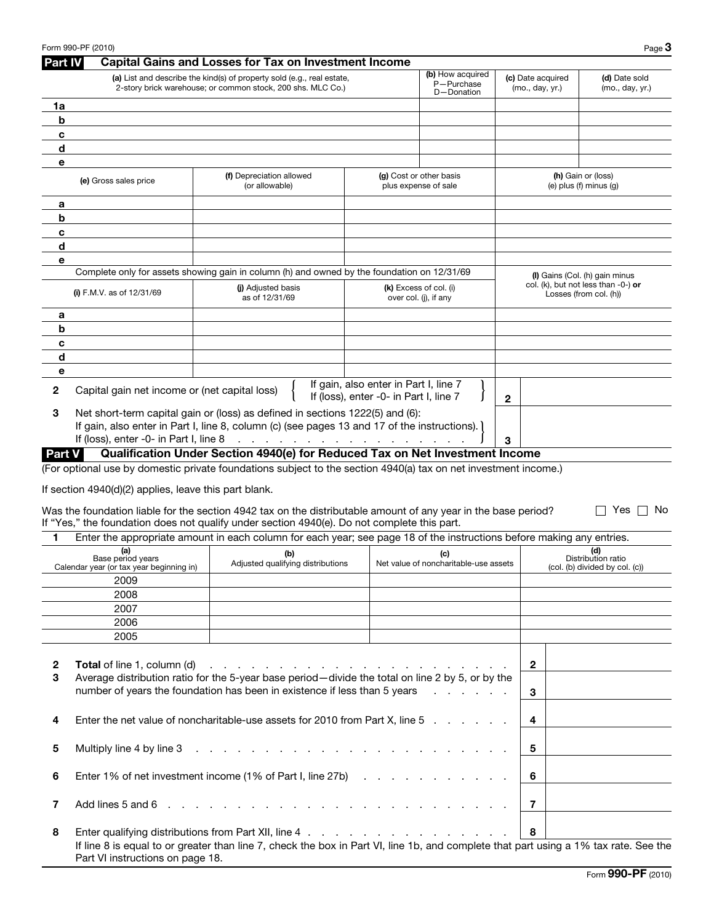|         | Form 990-PF (2010)                                            |                                                                                                                                                                                                                                                                                                                                   |                                                                                 |                                                 |                                      | Page $3$                                                         |
|---------|---------------------------------------------------------------|-----------------------------------------------------------------------------------------------------------------------------------------------------------------------------------------------------------------------------------------------------------------------------------------------------------------------------------|---------------------------------------------------------------------------------|-------------------------------------------------|--------------------------------------|------------------------------------------------------------------|
| Part IV |                                                               | <b>Capital Gains and Losses for Tax on Investment Income</b>                                                                                                                                                                                                                                                                      |                                                                                 |                                                 |                                      |                                                                  |
|         |                                                               | (a) List and describe the kind(s) of property sold (e.g., real estate,<br>2-story brick warehouse; or common stock, 200 shs. MLC Co.)                                                                                                                                                                                             |                                                                                 | (b) How acquired<br>P-Purchase<br>D-Donation    | (c) Date acquired<br>(mo., day, yr.) | (d) Date sold<br>(mo., day, yr.)                                 |
| 1a      |                                                               |                                                                                                                                                                                                                                                                                                                                   |                                                                                 |                                                 |                                      |                                                                  |
| b       |                                                               |                                                                                                                                                                                                                                                                                                                                   |                                                                                 |                                                 |                                      |                                                                  |
| c       |                                                               |                                                                                                                                                                                                                                                                                                                                   |                                                                                 |                                                 |                                      |                                                                  |
| d       |                                                               |                                                                                                                                                                                                                                                                                                                                   |                                                                                 |                                                 |                                      |                                                                  |
| е       |                                                               |                                                                                                                                                                                                                                                                                                                                   |                                                                                 |                                                 |                                      |                                                                  |
|         | (e) Gross sales price                                         | (f) Depreciation allowed<br>(or allowable)                                                                                                                                                                                                                                                                                        |                                                                                 | (g) Cost or other basis<br>plus expense of sale |                                      | (h) Gain or (loss)<br>(e) plus (f) minus (g)                     |
| а       |                                                               |                                                                                                                                                                                                                                                                                                                                   |                                                                                 |                                                 |                                      |                                                                  |
| b       |                                                               |                                                                                                                                                                                                                                                                                                                                   |                                                                                 |                                                 |                                      |                                                                  |
| c       |                                                               |                                                                                                                                                                                                                                                                                                                                   |                                                                                 |                                                 |                                      |                                                                  |
| d       |                                                               |                                                                                                                                                                                                                                                                                                                                   |                                                                                 |                                                 |                                      |                                                                  |
| е       |                                                               |                                                                                                                                                                                                                                                                                                                                   |                                                                                 |                                                 |                                      |                                                                  |
|         |                                                               | Complete only for assets showing gain in column (h) and owned by the foundation on 12/31/69                                                                                                                                                                                                                                       |                                                                                 |                                                 |                                      | (I) Gains (Col. (h) gain minus                                   |
|         | (i) F.M.V. as of $12/31/69$                                   | (i) Adjusted basis<br>as of 12/31/69                                                                                                                                                                                                                                                                                              |                                                                                 | (k) Excess of col. (i)<br>over col. (j), if any |                                      | col. (k), but not less than $-0$ -) or<br>Losses (from col. (h)) |
| а       |                                                               |                                                                                                                                                                                                                                                                                                                                   |                                                                                 |                                                 |                                      |                                                                  |
| b       |                                                               |                                                                                                                                                                                                                                                                                                                                   |                                                                                 |                                                 |                                      |                                                                  |
| c       |                                                               |                                                                                                                                                                                                                                                                                                                                   |                                                                                 |                                                 |                                      |                                                                  |
| d       |                                                               |                                                                                                                                                                                                                                                                                                                                   |                                                                                 |                                                 |                                      |                                                                  |
| е       |                                                               |                                                                                                                                                                                                                                                                                                                                   |                                                                                 |                                                 |                                      |                                                                  |
| 2       | Capital gain net income or (net capital loss)                 |                                                                                                                                                                                                                                                                                                                                   | If gain, also enter in Part I, line 7<br>If (loss), enter -0- in Part I, line 7 |                                                 | 2                                    |                                                                  |
| 3       |                                                               | Net short-term capital gain or (loss) as defined in sections 1222(5) and (6):<br>If gain, also enter in Part I, line 8, column (c) (see pages 13 and 17 of the instructions).                                                                                                                                                     |                                                                                 |                                                 |                                      |                                                                  |
|         | If (loss), enter -0- in Part I, line 8                        | and the contract of the contract of the contract of the                                                                                                                                                                                                                                                                           |                                                                                 |                                                 | 3                                    |                                                                  |
| Part V  |                                                               | Qualification Under Section 4940(e) for Reduced Tax on Net Investment Income                                                                                                                                                                                                                                                      |                                                                                 |                                                 |                                      |                                                                  |
|         |                                                               | (For optional use by domestic private foundations subject to the section 4940(a) tax on net investment income.)                                                                                                                                                                                                                   |                                                                                 |                                                 |                                      |                                                                  |
|         |                                                               |                                                                                                                                                                                                                                                                                                                                   |                                                                                 |                                                 |                                      |                                                                  |
|         | If section 4940(d)(2) applies, leave this part blank.         |                                                                                                                                                                                                                                                                                                                                   |                                                                                 |                                                 |                                      |                                                                  |
|         |                                                               | Was the foundation liable for the section 4942 tax on the distributable amount of any year in the base period?<br>If "Yes," the foundation does not qualify under section 4940(e). Do not complete this part.                                                                                                                     |                                                                                 |                                                 |                                      | Yes    <br>- No                                                  |
| 1       |                                                               | Enter the appropriate amount in each column for each year; see page 18 of the instructions before making any entries.                                                                                                                                                                                                             |                                                                                 |                                                 |                                      |                                                                  |
|         | (a)                                                           |                                                                                                                                                                                                                                                                                                                                   |                                                                                 |                                                 |                                      | (d)                                                              |
|         | Base period years<br>Calendar year (or tax year beginning in) | (b)<br>Adjusted qualifying distributions                                                                                                                                                                                                                                                                                          |                                                                                 | (c)<br>Net value of noncharitable-use assets    |                                      | Distribution ratio<br>(col. (b) divided by col. (c))             |
|         | 2009                                                          |                                                                                                                                                                                                                                                                                                                                   |                                                                                 |                                                 |                                      |                                                                  |
|         | 2008                                                          |                                                                                                                                                                                                                                                                                                                                   |                                                                                 |                                                 |                                      |                                                                  |
|         | 2007                                                          |                                                                                                                                                                                                                                                                                                                                   |                                                                                 |                                                 |                                      |                                                                  |
|         | 2006                                                          |                                                                                                                                                                                                                                                                                                                                   |                                                                                 |                                                 |                                      |                                                                  |
|         | 2005                                                          |                                                                                                                                                                                                                                                                                                                                   |                                                                                 |                                                 |                                      |                                                                  |
| 2<br>3  | <b>Total</b> of line 1, column (d)                            | a construction of the construction of the construction of the construction of the construction of the construction of the construction of the construction of the construction of the construction of the construction of the<br>Average distribution ratio for the 5-year base period-divide the total on line 2 by 5, or by the |                                                                                 |                                                 | $\overline{2}$                       |                                                                  |
|         |                                                               | number of years the foundation has been in existence if less than 5 years                                                                                                                                                                                                                                                         |                                                                                 | and the contract of the con-                    | 3                                    |                                                                  |
| 4       |                                                               | Enter the net value of noncharitable-use assets for 2010 from Part X, line 5                                                                                                                                                                                                                                                      |                                                                                 |                                                 | 4                                    |                                                                  |
| 5       | Multiply line 4 by line 3                                     |                                                                                                                                                                                                                                                                                                                                   |                                                                                 |                                                 |                                      |                                                                  |
| 6       |                                                               | Enter 1% of net investment income (1% of Part I, line 27b)                                                                                                                                                                                                                                                                        |                                                                                 |                                                 | 6                                    |                                                                  |
| 7       | Add lines 5 and 6                                             |                                                                                                                                                                                                                                                                                                                                   |                                                                                 |                                                 | $\overline{\mathbf{z}}$              |                                                                  |
| 8       | Part VI instructions on page 18.                              | If line 8 is equal to or greater than line 7, check the box in Part VI, line 1b, and complete that part using a 1% tax rate. See the                                                                                                                                                                                              |                                                                                 |                                                 | 8                                    |                                                                  |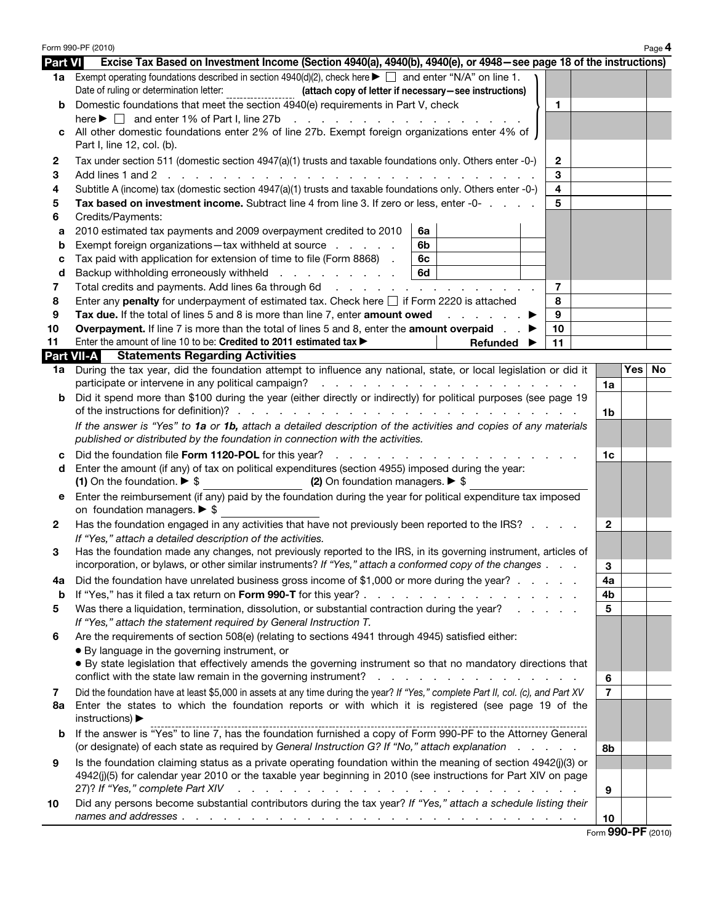|                | Form 990-PF (2010)                                                                                                                                                                                                                                                                                                                              |                     |     | Page 4 |  |  |  |
|----------------|-------------------------------------------------------------------------------------------------------------------------------------------------------------------------------------------------------------------------------------------------------------------------------------------------------------------------------------------------|---------------------|-----|--------|--|--|--|
| <b>Part VI</b> | Excise Tax Based on Investment Income (Section 4940(a), 4940(b), 4940(e), or 4948–see page 18 of the instructions)                                                                                                                                                                                                                              |                     |     |        |  |  |  |
|                | 1a Exempt operating foundations described in section $4940(d)(2)$ , check here $\blacktriangleright \Box$ and enter "N/A" on line 1.<br>Date of ruling or determination letter:<br>(attach copy of letter if necessary-see instructions)                                                                                                        |                     |     |        |  |  |  |
| b              | Domestic foundations that meet the section 4940(e) requirements in Part V, check<br>1<br>here $\blacktriangleright \Box$ and enter 1% of Part I, line 27b                                                                                                                                                                                       |                     |     |        |  |  |  |
|                | All other domestic foundations enter 2% of line 27b. Exempt foreign organizations enter 4% of<br>Part I, line 12, col. (b).                                                                                                                                                                                                                     |                     |     |        |  |  |  |
| $\mathbf{2}$   | Tax under section 511 (domestic section 4947(a)(1) trusts and taxable foundations only. Others enter -0-)<br>2                                                                                                                                                                                                                                  |                     |     |        |  |  |  |
| 3              | 3                                                                                                                                                                                                                                                                                                                                               |                     |     |        |  |  |  |
| 4              | 4<br>Subtitle A (income) tax (domestic section 4947(a)(1) trusts and taxable foundations only. Others enter -0-)                                                                                                                                                                                                                                |                     |     |        |  |  |  |
| 5              | Tax based on investment income. Subtract line 4 from line 3. If zero or less, enter -0-<br>5                                                                                                                                                                                                                                                    |                     |     |        |  |  |  |
| 6              | Credits/Payments:                                                                                                                                                                                                                                                                                                                               |                     |     |        |  |  |  |
| а              | 2010 estimated tax payments and 2009 overpayment credited to 2010<br>6a                                                                                                                                                                                                                                                                         |                     |     |        |  |  |  |
| b              | Exempt foreign organizations-tax withheld at source<br>6b                                                                                                                                                                                                                                                                                       |                     |     |        |  |  |  |
| с              | Tax paid with application for extension of time to file (Form 8868).<br>6c                                                                                                                                                                                                                                                                      |                     |     |        |  |  |  |
| d              | Backup withholding erroneously withheld<br>6d                                                                                                                                                                                                                                                                                                   |                     |     |        |  |  |  |
| 7              | 7<br>Total credits and payments. Add lines 6a through 6d                                                                                                                                                                                                                                                                                        |                     |     |        |  |  |  |
| 8              | 8<br>Enter any <b>penalty</b> for underpayment of estimated tax. Check here $\Box$ if Form 2220 is attached<br>9                                                                                                                                                                                                                                |                     |     |        |  |  |  |
| 9<br>10        | Tax due. If the total of lines 5 and 8 is more than line 7, enter amount owed<br>and a state of the state of the<br><b>Overpayment.</b> If line 7 is more than the total of lines 5 and 8, enter the <b>amount overpaid</b><br>10                                                                                                               |                     |     |        |  |  |  |
| 11             | Enter the amount of line 10 to be: Credited to 2011 estimated tax ><br>11<br>Refunded                                                                                                                                                                                                                                                           |                     |     |        |  |  |  |
|                | <b>Part VII-A</b><br><b>Statements Regarding Activities</b>                                                                                                                                                                                                                                                                                     |                     |     |        |  |  |  |
|                | 1a During the tax year, did the foundation attempt to influence any national, state, or local legislation or did it                                                                                                                                                                                                                             |                     | Yes | No.    |  |  |  |
|                | participate or intervene in any political campaign?<br>and the contract of the contract of the contract of the contract of                                                                                                                                                                                                                      | 1a                  |     |        |  |  |  |
| b              | Did it spend more than \$100 during the year (either directly or indirectly) for political purposes (see page 19                                                                                                                                                                                                                                | 1b                  |     |        |  |  |  |
|                | If the answer is "Yes" to 1a or 1b, attach a detailed description of the activities and copies of any materials<br>published or distributed by the foundation in connection with the activities.                                                                                                                                                |                     |     |        |  |  |  |
| с              | Did the foundation file Form 1120-POL for this year?                                                                                                                                                                                                                                                                                            | 1c                  |     |        |  |  |  |
| d              | Enter the amount (if any) of tax on political expenditures (section 4955) imposed during the year:                                                                                                                                                                                                                                              |                     |     |        |  |  |  |
|                | (1) On the foundation. $\triangleright$ \$<br>(2) On foundation managers. $\triangleright$ \$                                                                                                                                                                                                                                                   |                     |     |        |  |  |  |
| е              | Enter the reimbursement (if any) paid by the foundation during the year for political expenditure tax imposed<br>on foundation managers. $\triangleright$ \$                                                                                                                                                                                    |                     |     |        |  |  |  |
| $\mathbf{2}$   | Has the foundation engaged in any activities that have not previously been reported to the IRS?<br>If "Yes," attach a detailed description of the activities.                                                                                                                                                                                   | $\mathbf{2}$        |     |        |  |  |  |
| 3              | Has the foundation made any changes, not previously reported to the IRS, in its governing instrument, articles of<br>incorporation, or bylaws, or other similar instruments? If "Yes," attach a conformed copy of the changes                                                                                                                   | 3                   |     |        |  |  |  |
| 4a             | Did the foundation have unrelated business gross income of \$1,000 or more during the year?                                                                                                                                                                                                                                                     | 4a                  |     |        |  |  |  |
| b              |                                                                                                                                                                                                                                                                                                                                                 | 4b                  |     |        |  |  |  |
| 5              | Was there a liquidation, termination, dissolution, or substantial contraction during the year?<br>If "Yes," attach the statement required by General Instruction T.                                                                                                                                                                             | 5                   |     |        |  |  |  |
| 6              | Are the requirements of section 508(e) (relating to sections 4941 through 4945) satisfied either:                                                                                                                                                                                                                                               |                     |     |        |  |  |  |
|                | • By language in the governing instrument, or                                                                                                                                                                                                                                                                                                   |                     |     |        |  |  |  |
|                | • By state legislation that effectively amends the governing instrument so that no mandatory directions that                                                                                                                                                                                                                                    |                     |     |        |  |  |  |
|                | conflict with the state law remain in the governing instrument?<br>$\sim$<br>$\sim$<br>the contract of the contract of the contract of                                                                                                                                                                                                          | 6                   |     |        |  |  |  |
| 7<br>8a        | Did the foundation have at least \$5,000 in assets at any time during the year? If "Yes," complete Part II, col. (c), and Part XV<br>Enter the states to which the foundation reports or with which it is registered (see page 19 of the                                                                                                        | $\overline{7}$      |     |        |  |  |  |
|                | instructions) $\blacktriangleright$<br>If the answer is "Yes" to line 7, has the foundation furnished a copy of Form 990-PF to the Attorney General                                                                                                                                                                                             |                     |     |        |  |  |  |
| b              | (or designate) of each state as required by General Instruction G? If "No," attach explanation                                                                                                                                                                                                                                                  | 8b                  |     |        |  |  |  |
| 9              | Is the foundation claiming status as a private operating foundation within the meaning of section 4942(j)(3) or<br>4942(j)(5) for calendar year 2010 or the taxable year beginning in 2010 (see instructions for Part XIV on page<br>27)? If "Yes," complete Part XIV<br>والمتحاول والمتحاول والمتحاول والمتحاول والمتحاول والمتحاول والمتحاولة | 9                   |     |        |  |  |  |
| 10             | Did any persons become substantial contributors during the tax year? If "Yes," attach a schedule listing their                                                                                                                                                                                                                                  |                     |     |        |  |  |  |
|                |                                                                                                                                                                                                                                                                                                                                                 | 10                  |     |        |  |  |  |
|                |                                                                                                                                                                                                                                                                                                                                                 | Eorm $990-PF(2010)$ |     |        |  |  |  |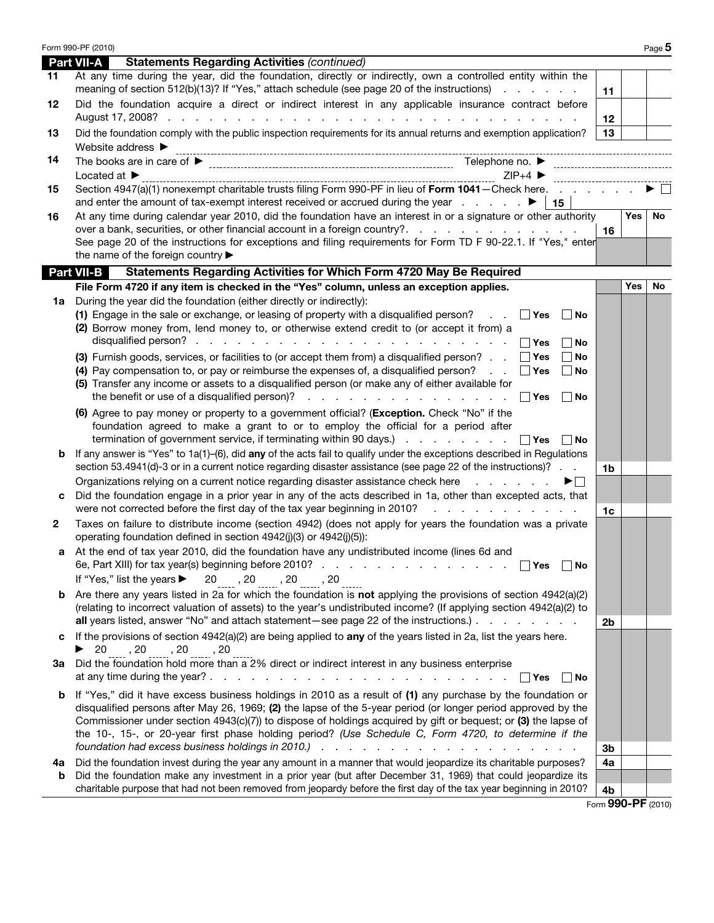|    | Form 990-PF (2010)                                                                                                                                                                                                                                                                                                                                                                                                                                           |         | Page 5 |
|----|--------------------------------------------------------------------------------------------------------------------------------------------------------------------------------------------------------------------------------------------------------------------------------------------------------------------------------------------------------------------------------------------------------------------------------------------------------------|---------|--------|
|    | <b>Part VII-A</b><br><b>Statements Regarding Activities (continued)</b>                                                                                                                                                                                                                                                                                                                                                                                      |         |        |
| 11 | At any time during the year, did the foundation, directly or indirectly, own a controlled entity within the<br>meaning of section 512(b)(13)? If "Yes," attach schedule (see page 20 of the instructions)<br>11                                                                                                                                                                                                                                              |         |        |
| 12 | Did the foundation acquire a direct or indirect interest in any applicable insurance contract before<br>August 17, 2008?<br>and a construction of the construction of the construction of the construction of the construction of the construction of the construction of the construction of the construction of the construction of the construction of<br>12                                                                                              |         |        |
| 13 | Did the foundation comply with the public inspection requirements for its annual returns and exemption application?<br>13<br>Website address $\blacktriangleright$                                                                                                                                                                                                                                                                                           |         |        |
| 14 |                                                                                                                                                                                                                                                                                                                                                                                                                                                              |         |        |
|    | $ZIP+4$<br>Located at $\blacktriangleright$<br>--------------------------                                                                                                                                                                                                                                                                                                                                                                                    |         |        |
| 15 | Section 4947(a)(1) nonexempt charitable trusts filing Form 990-PF in lieu of Form 1041 - Check here.<br>and enter the amount of tax-exempt interest received or accrued during the year $\therefore$ $\blacktriangleright$   15                                                                                                                                                                                                                              |         |        |
| 16 | At any time during calendar year 2010, did the foundation have an interest in or a signature or other authority<br>over a bank, securities, or other financial account in a foreign country?. $\ldots$ .<br>16<br>See page 20 of the instructions for exceptions and filing requirements for Form TD F 90-22.1. If "Yes," enter<br>the name of the foreign country                                                                                           | Yes $ $ | No     |
|    | Part VII-B<br>Statements Regarding Activities for Which Form 4720 May Be Required                                                                                                                                                                                                                                                                                                                                                                            |         |        |
|    | File Form 4720 if any item is checked in the "Yes" column, unless an exception applies.                                                                                                                                                                                                                                                                                                                                                                      | Yes     | No     |
|    | 1a During the year did the foundation (either directly or indirectly):<br>(1) Engage in the sale or exchange, or leasing of property with a disqualified person? $\Box$ Yes<br>  No<br>(2) Borrow money from, lend money to, or otherwise extend credit to (or accept it from) a<br>$\Box$ Yes<br>  No                                                                                                                                                       |         |        |
|    | (3) Furnish goods, services, or facilities to (or accept them from) a disqualified person? $\Box$ Yes<br>No<br>(4) Pay compensation to, or pay or reimburse the expenses of, a disqualified person? $\Box$ Yes<br>No<br>(5) Transfer any income or assets to a disqualified person (or make any of either available for<br>∣ ∣Yes<br>∣No                                                                                                                     |         |        |
|    | (6) Agree to pay money or property to a government official? (Exception. Check "No" if the<br>foundation agreed to make a grant to or to employ the official for a period after<br>termination of government service, if terminating within 90 days.) $\ldots$ $\ldots$ $\ldots$ $\Box$ Yes<br>∣No                                                                                                                                                           |         |        |
| b  | If any answer is "Yes" to 1a(1)-(6), did any of the acts fail to qualify under the exceptions described in Regulations<br>section 53.4941(d)-3 or in a current notice regarding disaster assistance (see page 22 of the instructions)?<br>1 <sub>b</sub>                                                                                                                                                                                                     |         |        |
|    | Organizations relying on a current notice regarding disaster assistance check here entitled as a controller<br>▶□<br>Did the foundation engage in a prior year in any of the acts described in 1a, other than excepted acts, that<br>were not corrected before the first day of the tax year beginning in 2010?<br>and the company of the company of the<br>1 <sub>c</sub>                                                                                   |         |        |
| 2  | Taxes on failure to distribute income (section 4942) (does not apply for years the foundation was a private<br>operating foundation defined in section 4942(j)(3) or 4942(j)(5)):                                                                                                                                                                                                                                                                            |         |        |
|    | At the end of tax year 2010, did the foundation have any undistributed income (lines 6d and<br>6e, Part XIII) for tax year(s) beginning before 2010?<br>$\Box$ Yes $\Box$ No                                                                                                                                                                                                                                                                                 |         |        |
|    | If "Yes," list the years $\triangleright$ 20 $_{\dots}$ , 20 $_{\dots}$ , 20 $_{\dots}$ , 20 $_{\dots}$                                                                                                                                                                                                                                                                                                                                                      |         |        |
| b  | Are there any years listed in 2a for which the foundation is not applying the provisions of section $4942(a)(2)$<br>(relating to incorrect valuation of assets) to the year's undistributed income? (If applying section 4942(a)(2) to                                                                                                                                                                                                                       |         |        |
| c  | all years listed, answer "No" and attach statement – see page 22 of the instructions.)<br>2 <sub>b</sub><br>If the provisions of section $4942(a)(2)$ are being applied to any of the years listed in 2a, list the years here.                                                                                                                                                                                                                               |         |        |
| За | $\triangleright$ 20, 20, 20, 20, 20, 20<br>Did the foundation hold more than a 2% direct or indirect interest in any business enterprise<br>∣ ∣Yes<br>∣No                                                                                                                                                                                                                                                                                                    |         |        |
| b  | If "Yes," did it have excess business holdings in 2010 as a result of (1) any purchase by the foundation or<br>disqualified persons after May 26, 1969; (2) the lapse of the 5-year period (or longer period approved by the<br>Commissioner under section 4943(c)(7)) to dispose of holdings acquired by gift or bequest; or (3) the lapse of<br>the 10-, 15-, or 20-year first phase holding period? (Use Schedule C, Form 4720, to determine if the<br>3b |         |        |
| 4a | Did the foundation invest during the year any amount in a manner that would jeopardize its charitable purposes?<br>4a                                                                                                                                                                                                                                                                                                                                        |         |        |
| b  | Did the foundation make any investment in a prior year (but after December 31, 1969) that could jeopardize its                                                                                                                                                                                                                                                                                                                                               |         |        |
|    | charitable purpose that had not been removed from jeopardy before the first day of the tax year beginning in 2010?<br>4b                                                                                                                                                                                                                                                                                                                                     |         |        |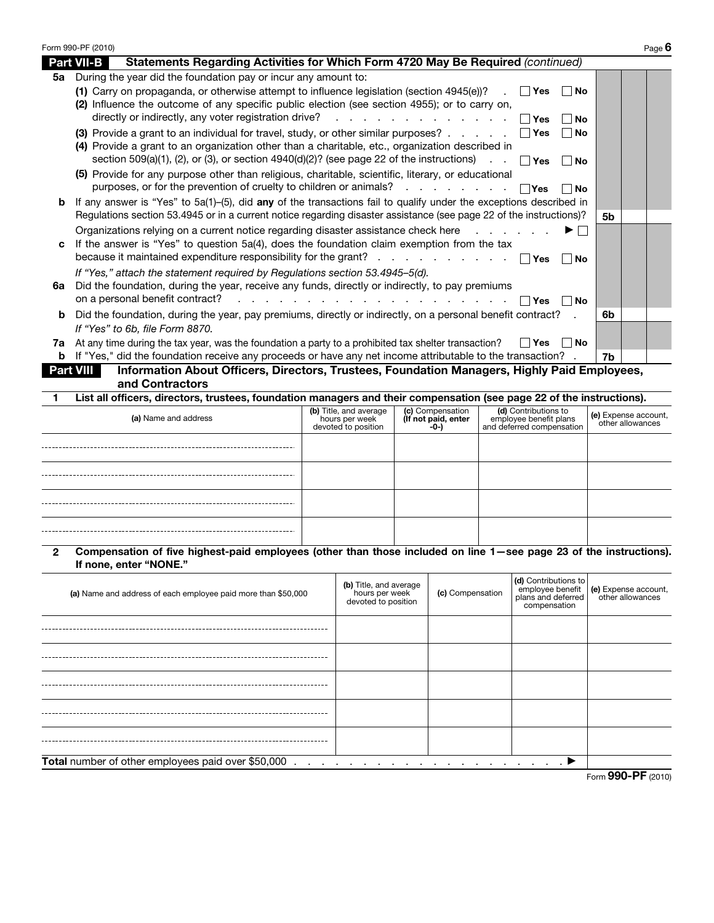|    | Form 990-PF (2010)                                                                                                                                                                                             |                | Page 6 |
|----|----------------------------------------------------------------------------------------------------------------------------------------------------------------------------------------------------------------|----------------|--------|
|    | Statements Regarding Activities for Which Form 4720 May Be Required (continued)<br><b>Part VII-B</b>                                                                                                           |                |        |
| 5а | During the year did the foundation pay or incur any amount to:                                                                                                                                                 |                |        |
|    | (1) Carry on propaganda, or otherwise attempt to influence legislation (section 4945(e))?<br>∣ ∣Yes<br>∣ ∣No                                                                                                   |                |        |
|    | (2) Influence the outcome of any specific public election (see section 4955); or to carry on,                                                                                                                  |                |        |
|    | directly or indirectly, any voter registration drive? $\cdots$ $\cdots$ $\cdots$ $\cdots$ $\cdots$ $\Box$ Yes<br>l No                                                                                          |                |        |
|    | (3) Provide a grant to an individual for travel, study, or other similar purposes? $\Box$ Yes<br>∣No                                                                                                           |                |        |
|    | (4) Provide a grant to an organization other than a charitable, etc., organization described in                                                                                                                |                |        |
|    | section 509(a)(1), (2), or (3), or section 4940(d)(2)? (see page 22 of the instructions) $\Box$ $\Box$ Yes $\Box$ No                                                                                           |                |        |
|    | (5) Provide for any purpose other than religious, charitable, scientific, literary, or educational<br>purposes, or for the prevention of cruelty to children or animals? $\ldots$ $\ldots$ $\ldots$ $\Box$ Yes |                |        |
| b  | $ $ No<br>If any answer is "Yes" to 5a(1)–(5), did any of the transactions fail to qualify under the exceptions described in                                                                                   |                |        |
|    | Regulations section 53.4945 or in a current notice regarding disaster assistance (see page 22 of the instructions)?                                                                                            | 5 <sub>b</sub> |        |
|    | Organizations relying on a current notice regarding disaster assistance check here<br>▶ │ │                                                                                                                    |                |        |
| C  | If the answer is "Yes" to question 5a(4), does the foundation claim exemption from the tax                                                                                                                     |                |        |
|    | because it maintained expenditure responsibility for the grant? $\Box$ Yes<br>l No                                                                                                                             |                |        |
|    | If "Yes," attach the statement required by Regulations section 53.4945-5(d).                                                                                                                                   |                |        |
| 6а | Did the foundation, during the year, receive any funds, directly or indirectly, to pay premiums                                                                                                                |                |        |
|    | on a personal benefit contract? $\ldots$ $\ldots$ $\ldots$ $\ldots$ $\ldots$ $\ldots$ $\ldots$ $\Box$ Yes $\Box$ No                                                                                            |                |        |
| b  | Did the foundation, during the year, pay premiums, directly or indirectly, on a personal benefit contract?                                                                                                     | 6b             |        |
|    | If "Yes" to 6b, file Form 8870.                                                                                                                                                                                |                |        |
| 7a | At any time during the tax year, was the foundation a party to a prohibited tax shelter transaction?<br>∣ ∣Yes<br>∣No                                                                                          |                |        |
| b  | If "Yes," did the foundation receive any proceeds or have any net income attributable to the transaction?                                                                                                      | 7b             |        |
|    | <b>Part VIII</b><br>Information About Officers, Directors, Trustees, Foundation Managers, Highly Paid Employees,                                                                                               |                |        |
|    | and Contractors                                                                                                                                                                                                |                |        |

1 List all officers, directors, trustees, foundation managers and their compensation (see page 22 of the instructions).

| (a) Name and address |  | (b) Title, and average (c) Compensation (d) Contributions to<br>hours per week (If not paid, enter employee benefit plans<br>devoted to position -0-) and deferred compensation | (e) Expense account,<br>other allowances |
|----------------------|--|---------------------------------------------------------------------------------------------------------------------------------------------------------------------------------|------------------------------------------|
|                      |  |                                                                                                                                                                                 |                                          |
|                      |  |                                                                                                                                                                                 |                                          |
|                      |  |                                                                                                                                                                                 |                                          |
|                      |  |                                                                                                                                                                                 |                                          |

2 Compensation of five highest-paid employees (other than those included on line 1—see page 23 of the instructions). If none, enter "NONE."

| (a) Name and address of each employee paid more than \$50,000 | (b) Title, and average<br>hours per week<br>devoted to position                   | (c) Compensation | (d) Contributions to<br>compensation | comployee benefit (e) Expense account,<br>  plans and deferred   other allowances |  |  |  |  |
|---------------------------------------------------------------|-----------------------------------------------------------------------------------|------------------|--------------------------------------|-----------------------------------------------------------------------------------|--|--|--|--|
|                                                               |                                                                                   |                  |                                      |                                                                                   |  |  |  |  |
|                                                               |                                                                                   |                  |                                      |                                                                                   |  |  |  |  |
|                                                               |                                                                                   |                  |                                      |                                                                                   |  |  |  |  |
|                                                               |                                                                                   |                  |                                      |                                                                                   |  |  |  |  |
|                                                               |                                                                                   |                  |                                      |                                                                                   |  |  |  |  |
| Total number of other employees paid over \$50,000            | $\bullet$ . The contract of the contract of the contract of $\blacktriangleright$ |                  |                                      |                                                                                   |  |  |  |  |
| Form 990-PF (2010)                                            |                                                                                   |                  |                                      |                                                                                   |  |  |  |  |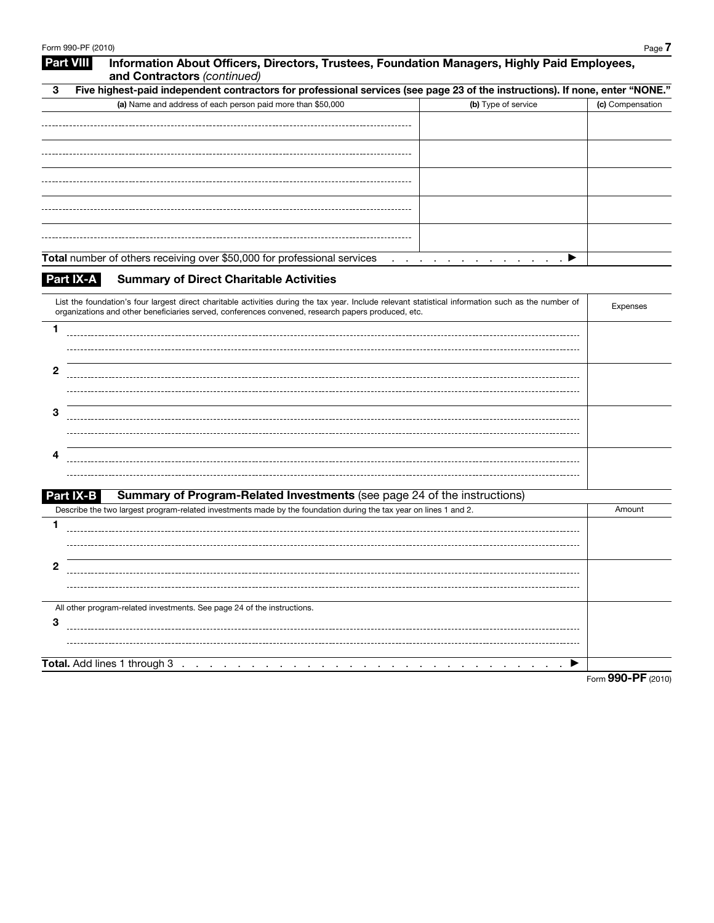|                                                                                                                                                     |                                                                          | Five highest-paid independent contractors for professional services (see page 23 of the instructions). If none, enter "NONE." |                  |
|-----------------------------------------------------------------------------------------------------------------------------------------------------|--------------------------------------------------------------------------|-------------------------------------------------------------------------------------------------------------------------------|------------------|
| (a) Name and address of each person paid more than \$50,000                                                                                         |                                                                          | (b) Type of service                                                                                                           | (c) Compensation |
|                                                                                                                                                     |                                                                          |                                                                                                                               |                  |
|                                                                                                                                                     |                                                                          |                                                                                                                               |                  |
|                                                                                                                                                     |                                                                          |                                                                                                                               |                  |
|                                                                                                                                                     |                                                                          |                                                                                                                               |                  |
|                                                                                                                                                     |                                                                          |                                                                                                                               |                  |
|                                                                                                                                                     |                                                                          |                                                                                                                               |                  |
|                                                                                                                                                     |                                                                          |                                                                                                                               |                  |
|                                                                                                                                                     |                                                                          |                                                                                                                               |                  |
|                                                                                                                                                     |                                                                          |                                                                                                                               |                  |
| Total number of others receiving over \$50,000 for professional services                                                                            | and a strain and                                                         | $\mathcal{A}$ , and $\mathcal{A}$ , and $\mathcal{A}$                                                                         |                  |
| Part IX-A<br><b>Summary of Direct Charitable Activities</b>                                                                                         |                                                                          |                                                                                                                               |                  |
| List the foundation's four largest direct charitable activities during the tax year. Include relevant statistical information such as the number of |                                                                          |                                                                                                                               |                  |
| organizations and other beneficiaries served, conferences convened, research papers produced, etc.                                                  |                                                                          |                                                                                                                               | Expenses         |
| 1                                                                                                                                                   |                                                                          |                                                                                                                               |                  |
|                                                                                                                                                     |                                                                          |                                                                                                                               |                  |
|                                                                                                                                                     |                                                                          |                                                                                                                               |                  |
| $\mathbf{2}$                                                                                                                                        |                                                                          |                                                                                                                               |                  |
|                                                                                                                                                     |                                                                          |                                                                                                                               |                  |
| З                                                                                                                                                   |                                                                          |                                                                                                                               |                  |
|                                                                                                                                                     |                                                                          |                                                                                                                               |                  |
|                                                                                                                                                     |                                                                          |                                                                                                                               |                  |
| 4                                                                                                                                                   |                                                                          |                                                                                                                               |                  |
|                                                                                                                                                     |                                                                          |                                                                                                                               |                  |
| Part IX-B                                                                                                                                           | Summary of Program-Related Investments (see page 24 of the instructions) |                                                                                                                               |                  |
| Describe the two largest program-related investments made by the foundation during the tax year on lines 1 and 2.                                   |                                                                          |                                                                                                                               | Amount           |
| 1                                                                                                                                                   |                                                                          |                                                                                                                               |                  |
|                                                                                                                                                     |                                                                          |                                                                                                                               |                  |
|                                                                                                                                                     |                                                                          |                                                                                                                               |                  |
| 2                                                                                                                                                   |                                                                          |                                                                                                                               |                  |
|                                                                                                                                                     |                                                                          |                                                                                                                               |                  |
| All other program-related investments. See page 24 of the instructions.                                                                             |                                                                          |                                                                                                                               |                  |
|                                                                                                                                                     |                                                                          |                                                                                                                               |                  |
| 3                                                                                                                                                   |                                                                          |                                                                                                                               |                  |
|                                                                                                                                                     |                                                                          |                                                                                                                               |                  |
| Total. Add lines 1 through 3                                                                                                                        |                                                                          |                                                                                                                               |                  |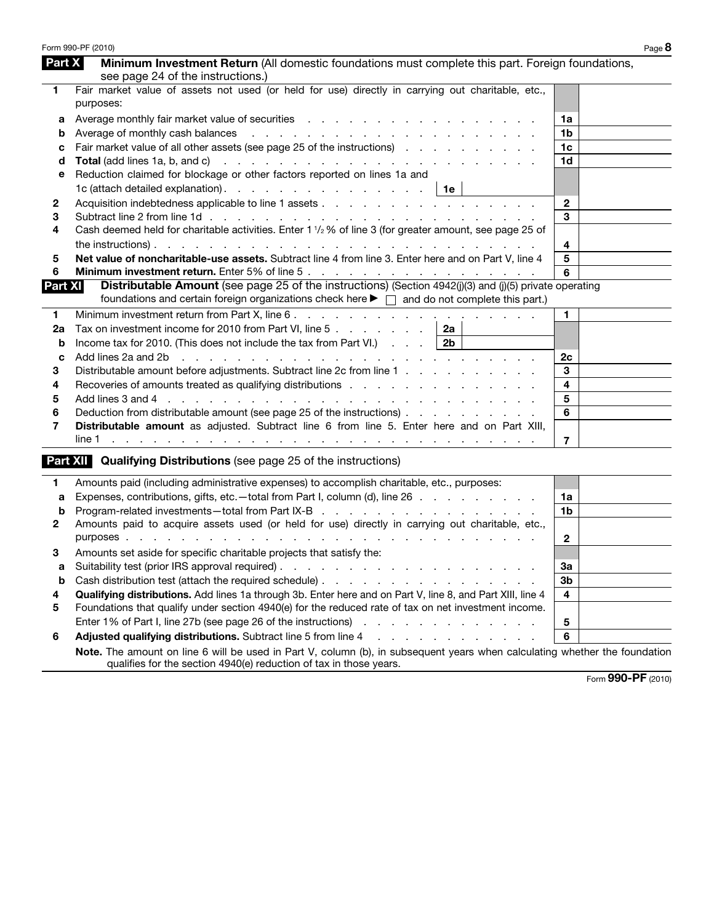|                | Form 990-PF (2010)                                                                                                                                                                                                                    |                | Page 8 |
|----------------|---------------------------------------------------------------------------------------------------------------------------------------------------------------------------------------------------------------------------------------|----------------|--------|
| Part X         | Minimum Investment Return (All domestic foundations must complete this part. Foreign foundations,<br>see page 24 of the instructions.)                                                                                                |                |        |
| 1              | Fair market value of assets not used (or held for use) directly in carrying out charitable, etc.,<br>purposes:                                                                                                                        |                |        |
| а              | Average monthly fair market value of securities enterstanding and and a securities of the second securities of the second second second second second second second second second second second second second second second se        | 1a             |        |
| b              |                                                                                                                                                                                                                                       | 1b             |        |
| с              | Fair market value of all other assets (see page 25 of the instructions)                                                                                                                                                               | 1 <sub>c</sub> |        |
| d              | Total (add lines 1a, b, and c) (e.g. in the case of the contract of the contract of the contract of the contract of the contract of the contract of the contract of the contract of the contract of the contract of the contra        | 1d             |        |
| е              | Reduction claimed for blockage or other factors reported on lines 1a and                                                                                                                                                              |                |        |
|                | 1c (attach detailed explanation). $\cdots$ $\cdots$ $\cdots$ $\cdots$ $\cdots$ $\cdots$ $\cdots$ 1e                                                                                                                                   |                |        |
| 2              |                                                                                                                                                                                                                                       | $\mathbf{2}$   |        |
| 3              |                                                                                                                                                                                                                                       | 3              |        |
| 4              | Cash deemed held for charitable activities. Enter 1 1/2 % of line 3 (for greater amount, see page 25 of                                                                                                                               |                |        |
|                |                                                                                                                                                                                                                                       | 4              |        |
| 5              | Net value of noncharitable-use assets. Subtract line 4 from line 3. Enter here and on Part V, line 4                                                                                                                                  | 5              |        |
| 6              |                                                                                                                                                                                                                                       | 6              |        |
| <b>Part XI</b> | <b>Distributable Amount</b> (see page 25 of the instructions) (Section 4942(j)(3) and (j)(5) private operating<br>foundations and certain foreign organizations check here $\blacktriangleright \Box$ and do not complete this part.) |                |        |
| 1              |                                                                                                                                                                                                                                       | $\mathbf{1}$   |        |
| 2a             | Tax on investment income for 2010 from Part VI, line 5 $\ldots$ $\ldots$ $\ldots$   2a                                                                                                                                                |                |        |
| b              | Income tax for 2010. (This does not include the tax from Part VI.) $\blacksquare$                                                                                                                                                     |                |        |
| c              | Add lines 2a and 2b and all and all and all and all and all and all and all and all and all and all and all and all and all and all and all and all and all and all and all and all and all and all and all and all and all an        | 2c             |        |
| 3              | Distributable amount before adjustments. Subtract line 2c from line 1                                                                                                                                                                 | 3              |        |
| 4              | Recoveries of amounts treated as qualifying distributions enterstanded as $\sim$ . The state of a state of a state of $\sim$                                                                                                          | 4              |        |
| 5              |                                                                                                                                                                                                                                       | 5              |        |
| 6              | Deduction from distributable amount (see page 25 of the instructions)                                                                                                                                                                 | 6              |        |
| 7              | Distributable amount as adjusted. Subtract line 6 from line 5. Enter here and on Part XIII,                                                                                                                                           |                |        |
|                |                                                                                                                                                                                                                                       | $\overline{7}$ |        |
|                | <b>Part XII</b> Qualifying Distributions (see page 25 of the instructions)                                                                                                                                                            |                |        |
| 1              | Amounts paid (including administrative expenses) to accomplish charitable, etc., purposes:                                                                                                                                            |                |        |
| a              | Expenses, contributions, gifts, etc.—total from Part I, column (d), line 26                                                                                                                                                           | 1a             |        |
| b              |                                                                                                                                                                                                                                       | 1b             |        |
| $\mathbf{2}$   | Amounts paid to acquire assets used (or held for use) directly in carrying out charitable, etc.,                                                                                                                                      |                |        |
|                |                                                                                                                                                                                                                                       | $\overline{2}$ |        |
| 3.             | Amounts set aside for specific charitable projects that satisfy the:                                                                                                                                                                  |                |        |
| a              |                                                                                                                                                                                                                                       | 3a             |        |
| b              |                                                                                                                                                                                                                                       | 3b             |        |
| 4              | Qualifying distributions. Add lines 1a through 3b. Enter here and on Part V, line 8, and Part XIII, line 4                                                                                                                            | 4              |        |
| 5              | Foundations that qualify under section 4940(e) for the reduced rate of tax on net investment income.                                                                                                                                  |                |        |
|                | Enter 1% of Part I, line 27b (see page 26 of the instructions)<br>design and a state of the state of the state                                                                                                                        | $\sqrt{5}$     |        |
| 6              | Adjusted qualifying distributions. Subtract line 5 from line 4<br>.                                                                                                                                                                   | 6              |        |
|                | Note. The amount on line 6 will be used in Part V, column (b), in subsequent years when calculating whether the foundation<br>qualifies for the section 4940(e) reduction of tax in those years.                                      |                |        |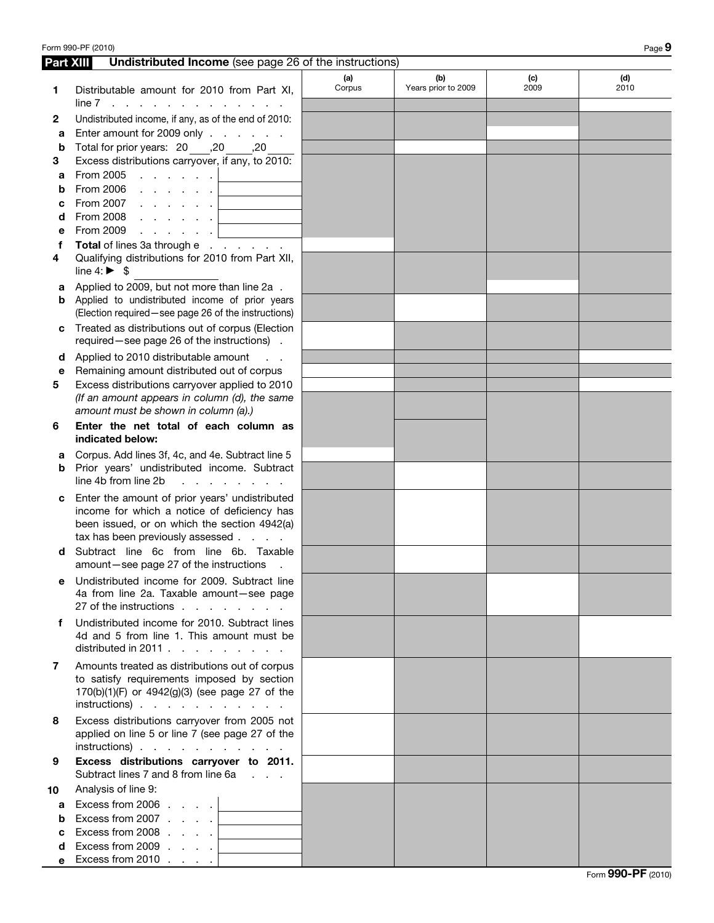| Form 990-PF (2010)<br>Page 9 |                                                                                                                                                                                   |               |                            |             |             |  |
|------------------------------|-----------------------------------------------------------------------------------------------------------------------------------------------------------------------------------|---------------|----------------------------|-------------|-------------|--|
| Part XIII                    | <b>Undistributed Income</b> (see page 26 of the instructions)                                                                                                                     |               |                            |             |             |  |
| 1                            | Distributable amount for 2010 from Part XI,                                                                                                                                       | (a)<br>Corpus | (b)<br>Years prior to 2009 | (c)<br>2009 | (d)<br>2010 |  |
| 2                            | $line 7$<br>Undistributed income, if any, as of the end of 2010:                                                                                                                  |               |                            |             |             |  |
| а                            | Enter amount for 2009 only                                                                                                                                                        |               |                            |             |             |  |
| b                            | 70, Total for prior years: 20 ,20                                                                                                                                                 |               |                            |             |             |  |
| З                            | Excess distributions carryover, if any, to 2010:                                                                                                                                  |               |                            |             |             |  |
| а                            | From 2005<br>and the contract of the second                                                                                                                                       |               |                            |             |             |  |
| b                            | From 2006<br>and the company of the company                                                                                                                                       |               |                            |             |             |  |
| с                            | From 2007<br>and a series of                                                                                                                                                      |               |                            |             |             |  |
| d                            | From 2008<br>and the company of the second                                                                                                                                        |               |                            |             |             |  |
| е                            | From 2009<br>and the contract of the second                                                                                                                                       |               |                            |             |             |  |
| f                            | Total of lines 3a through e                                                                                                                                                       |               |                            |             |             |  |
| 4                            | Qualifying distributions for 2010 from Part XII,<br>line $4: \triangleright$ \$                                                                                                   |               |                            |             |             |  |
| а                            | Applied to 2009, but not more than line 2a.<br>Applied to undistributed income of prior years                                                                                     |               |                            |             |             |  |
| b                            | (Election required - see page 26 of the instructions)                                                                                                                             |               |                            |             |             |  |
| с                            | Treated as distributions out of corpus (Election<br>required-see page 26 of the instructions).                                                                                    |               |                            |             |             |  |
| d                            | Applied to 2010 distributable amount                                                                                                                                              |               |                            |             |             |  |
| е                            | Remaining amount distributed out of corpus                                                                                                                                        |               |                            |             |             |  |
| 5                            | Excess distributions carryover applied to 2010                                                                                                                                    |               |                            |             |             |  |
|                              | (If an amount appears in column (d), the same<br>amount must be shown in column (a).)                                                                                             |               |                            |             |             |  |
| 6                            | Enter the net total of each column as<br>indicated below:                                                                                                                         |               |                            |             |             |  |
| а                            | Corpus. Add lines 3f, 4c, and 4e. Subtract line 5                                                                                                                                 |               |                            |             |             |  |
| b                            | Prior years' undistributed income. Subtract<br>line 4b from line 2b<br>and a strategic and a strategic                                                                            |               |                            |             |             |  |
| c                            | Enter the amount of prior years' undistributed<br>income for which a notice of deficiency has<br>been issued, or on which the section 4942(a)<br>tax has been previously assessed |               |                            |             |             |  |
| d                            | Subtract line 6c from line 6b. Taxable<br>amount-see page 27 of the instructions.                                                                                                 |               |                            |             |             |  |
| е                            | Undistributed income for 2009. Subtract line<br>4a from line 2a. Taxable amount-see page<br>27 of the instructions                                                                |               |                            |             |             |  |
| f                            | Undistributed income for 2010. Subtract lines<br>4d and 5 from line 1. This amount must be<br>distributed in 2011.                                                                |               |                            |             |             |  |
| 7                            | Amounts treated as distributions out of corpus<br>to satisfy requirements imposed by section<br>170(b)(1)(F) or 4942(g)(3) (see page 27 of the<br>$instructions)$                 |               |                            |             |             |  |
| 8                            | Excess distributions carryover from 2005 not<br>applied on line 5 or line 7 (see page 27 of the<br>$instructions)$                                                                |               |                            |             |             |  |
| 9                            | Excess distributions carryover to 2011.<br>Subtract lines 7 and 8 from line 6a                                                                                                    |               |                            |             |             |  |
| 10                           | Analysis of line 9:                                                                                                                                                               |               |                            |             |             |  |
| a                            | Excess from 2006 $\ldots$ $\ldots$                                                                                                                                                |               |                            |             |             |  |
| b                            | Excess from 2007 $\ldots$ .                                                                                                                                                       |               |                            |             |             |  |
| c                            | Excess from 2008 $\ldots$ $\ldots$                                                                                                                                                |               |                            |             |             |  |
| d                            | Excess from 2009 $\ldots$ $\ldots$                                                                                                                                                |               |                            |             |             |  |
| е                            | Excess from 2010 $\ldots$ .                                                                                                                                                       |               |                            |             |             |  |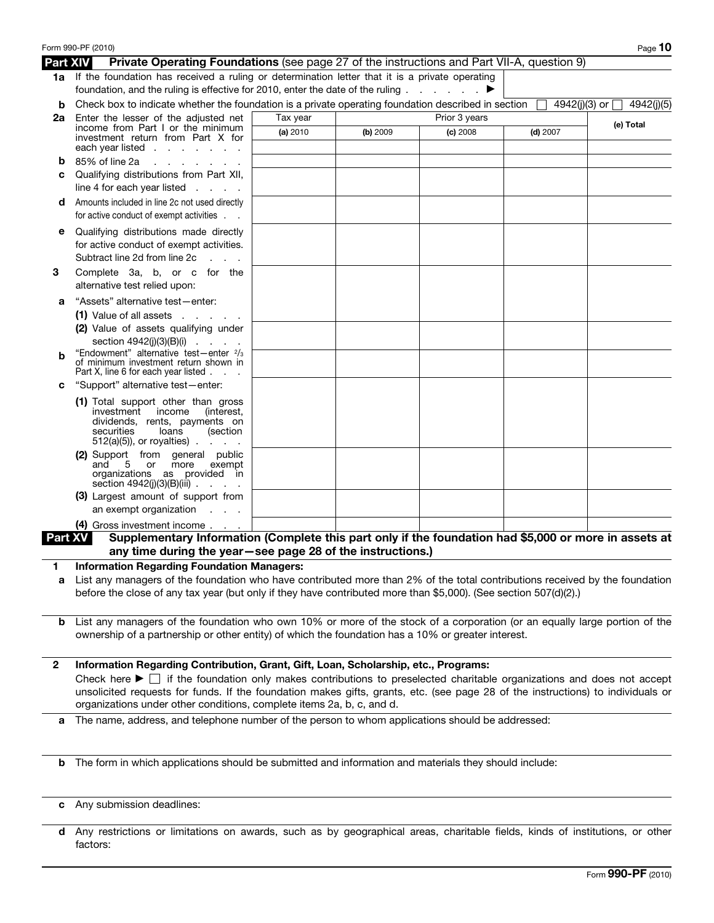|                 | Form 990-PF (2010)                                                                                                                                                                                                                                                              |          |          |               |            | Page 10                       |
|-----------------|---------------------------------------------------------------------------------------------------------------------------------------------------------------------------------------------------------------------------------------------------------------------------------|----------|----------|---------------|------------|-------------------------------|
| <b>Part XIV</b> | <b>Private Operating Foundations</b> (see page 27 of the instructions and Part VII-A, question 9)                                                                                                                                                                               |          |          |               |            |                               |
|                 | 1a If the foundation has received a ruling or determination letter that it is a private operating<br>foundation, and the ruling is effective for 2010, enter the date of the ruling $\ldots$                                                                                    |          |          |               |            |                               |
| b               | Check box to indicate whether the foundation is a private operating foundation described in section                                                                                                                                                                             |          |          |               |            | 4942(j)(3) or □<br>4942(j)(5) |
| 2a              | Enter the lesser of the adiusted net                                                                                                                                                                                                                                            | Tax year |          | Prior 3 years |            |                               |
|                 | income from Part I or the minimum                                                                                                                                                                                                                                               | (a) 2010 | (b) 2009 | (c) 2008      | $(d)$ 2007 | (e) Total                     |
|                 | investment return from Part X for<br>each year listed $\ldots$ $\ldots$ $\ldots$                                                                                                                                                                                                |          |          |               |            |                               |
| b               | 85% of line 2a<br>and a state of the state                                                                                                                                                                                                                                      |          |          |               |            |                               |
| c               | Qualifying distributions from Part XII,                                                                                                                                                                                                                                         |          |          |               |            |                               |
|                 | line 4 for each year listed $\ldots$ .                                                                                                                                                                                                                                          |          |          |               |            |                               |
| d               | Amounts included in line 2c not used directly<br>for active conduct of exempt activities                                                                                                                                                                                        |          |          |               |            |                               |
|                 | Qualifying distributions made directly                                                                                                                                                                                                                                          |          |          |               |            |                               |
|                 | for active conduct of exempt activities.<br>Subtract line 2d from line 2c<br><b>Contractor</b>                                                                                                                                                                                  |          |          |               |            |                               |
| 3               | Complete 3a, b, or c for the<br>alternative test relied upon:                                                                                                                                                                                                                   |          |          |               |            |                               |
| а               | "Assets" alternative test-enter:                                                                                                                                                                                                                                                |          |          |               |            |                               |
|                 | $(1)$ Value of all assets $\ldots$ $\ldots$                                                                                                                                                                                                                                     |          |          |               |            |                               |
|                 | (2) Value of assets qualifying under                                                                                                                                                                                                                                            |          |          |               |            |                               |
|                 | section $4942(j)(3)(B)(i)$                                                                                                                                                                                                                                                      |          |          |               |            |                               |
| b               | "Endowment" alternative test-enter 2/3<br>of minimum investment return shown in<br>Part X, line 6 for each year listed                                                                                                                                                          |          |          |               |            |                               |
| C               | "Support" alternative test-enter:                                                                                                                                                                                                                                               |          |          |               |            |                               |
|                 | (1) Total support other than gross<br>investment<br>income<br>(interest,<br>dividends, rents, payments on<br>securities<br>loans<br>(section<br>$512(a)(5)$ , or royalties).<br><b>Service</b> State                                                                            |          |          |               |            |                               |
|                 | (2) Support from general public<br>and<br>5 or<br>more<br>exempt<br>organizations as provided in<br>section $4942(j)(3)(B)(iii)$                                                                                                                                                |          |          |               |            |                               |
|                 | (3) Largest amount of support from<br>an exempt organization<br><b>Contractor</b>                                                                                                                                                                                               |          |          |               |            |                               |
|                 | (4) Gross investment income                                                                                                                                                                                                                                                     |          |          |               |            |                               |
| <b>Part XV</b>  | Supplementary Information (Complete this part only if the foundation had \$5,000 or more in assets at<br>any time during the year-see page 28 of the instructions.)                                                                                                             |          |          |               |            |                               |
|                 | <b>Information Regarding Foundation Managers:</b>                                                                                                                                                                                                                               |          |          |               |            |                               |
| a               | List any managers of the foundation who have contributed more than 2% of the total contributions received by the foundation<br>before the close of any tax year (but only if they have contributed more than \$5,000). (See section 507(d)(2).)                                 |          |          |               |            |                               |
| b               | List any managers of the foundation who own 10% or more of the stock of a corporation (or an equally large portion of the<br>ownership of a partnership or other entity) of which the foundation has a 10% or greater interest.                                                 |          |          |               |            |                               |
| $\mathbf{2}$    | Information Regarding Contribution, Grant, Gift, Loan, Scholarship, etc., Programs:                                                                                                                                                                                             |          |          |               |            |                               |
|                 | Check here $\blacktriangleright \Box$ if the foundation only makes contributions to preselected charitable organizations and does not accept<br>unsolicited requests for funds. If the foundation makes gifts, grants, etc. (see page 28 of the instructions) to individuals or |          |          |               |            |                               |
|                 | organizations under other conditions, complete items 2a, b, c, and d.                                                                                                                                                                                                           |          |          |               |            |                               |
| а               | The name, address, and telephone number of the person to whom applications should be addressed:                                                                                                                                                                                 |          |          |               |            |                               |
|                 |                                                                                                                                                                                                                                                                                 |          |          |               |            |                               |
| b               | The form in which applications should be submitted and information and materials they should include:                                                                                                                                                                           |          |          |               |            |                               |

- c Any submission deadlines:
- d Any restrictions or limitations on awards, such as by geographical areas, charitable fields, kinds of institutions, or other factors: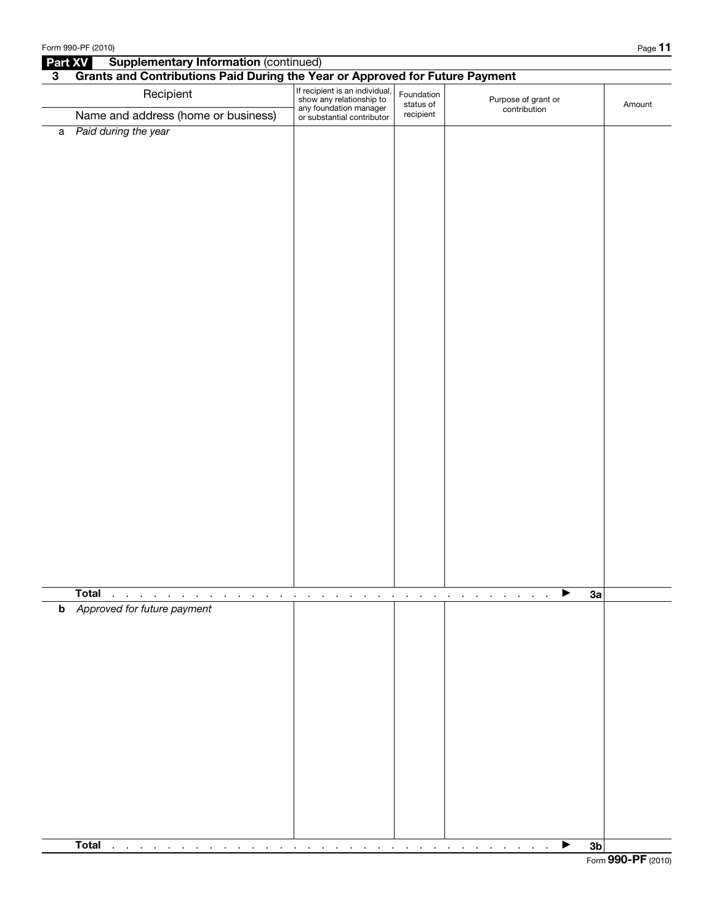|                | Form 990-PF (2010)                                                                                         |                                                                                                                    |                                                              |                                                 | Page 11        |
|----------------|------------------------------------------------------------------------------------------------------------|--------------------------------------------------------------------------------------------------------------------|--------------------------------------------------------------|-------------------------------------------------|----------------|
| Part XV        | <b>Supplementary Information (continued)</b>                                                               |                                                                                                                    |                                                              |                                                 |                |
| $3\phantom{a}$ | Grants and Contributions Paid During the Year or Approved for Future Payment                               |                                                                                                                    |                                                              |                                                 |                |
|                | Recipient                                                                                                  | If recipient is an individual,<br>show any relationship to<br>any foundation manager<br>or substantial contributor | Foundation<br>status of                                      | Purpose of grant or<br>contribution             | Amount         |
|                | Name and address (home or business)                                                                        |                                                                                                                    | recipient                                                    |                                                 |                |
|                | a Paid during the year                                                                                     |                                                                                                                    |                                                              |                                                 |                |
|                |                                                                                                            |                                                                                                                    |                                                              |                                                 |                |
|                |                                                                                                            |                                                                                                                    |                                                              |                                                 |                |
|                |                                                                                                            |                                                                                                                    |                                                              |                                                 |                |
|                |                                                                                                            |                                                                                                                    |                                                              |                                                 |                |
|                |                                                                                                            |                                                                                                                    |                                                              |                                                 |                |
|                |                                                                                                            |                                                                                                                    |                                                              |                                                 |                |
|                |                                                                                                            |                                                                                                                    |                                                              |                                                 |                |
|                |                                                                                                            |                                                                                                                    |                                                              |                                                 |                |
|                |                                                                                                            |                                                                                                                    |                                                              |                                                 |                |
|                |                                                                                                            |                                                                                                                    |                                                              |                                                 |                |
|                |                                                                                                            |                                                                                                                    |                                                              |                                                 |                |
|                |                                                                                                            |                                                                                                                    |                                                              |                                                 |                |
|                |                                                                                                            |                                                                                                                    |                                                              |                                                 |                |
|                |                                                                                                            |                                                                                                                    |                                                              |                                                 |                |
|                |                                                                                                            |                                                                                                                    |                                                              |                                                 |                |
|                |                                                                                                            |                                                                                                                    |                                                              |                                                 |                |
|                |                                                                                                            |                                                                                                                    |                                                              |                                                 |                |
|                |                                                                                                            |                                                                                                                    |                                                              |                                                 |                |
|                |                                                                                                            |                                                                                                                    |                                                              |                                                 |                |
|                |                                                                                                            |                                                                                                                    |                                                              |                                                 |                |
|                |                                                                                                            |                                                                                                                    |                                                              |                                                 |                |
|                |                                                                                                            |                                                                                                                    |                                                              |                                                 |                |
|                |                                                                                                            |                                                                                                                    |                                                              |                                                 |                |
|                |                                                                                                            |                                                                                                                    |                                                              |                                                 |                |
|                |                                                                                                            |                                                                                                                    |                                                              |                                                 |                |
|                |                                                                                                            |                                                                                                                    |                                                              |                                                 |                |
|                |                                                                                                            |                                                                                                                    |                                                              |                                                 |                |
|                |                                                                                                            |                                                                                                                    |                                                              |                                                 |                |
|                |                                                                                                            |                                                                                                                    |                                                              |                                                 |                |
|                |                                                                                                            |                                                                                                                    |                                                              |                                                 |                |
|                | <b>Total</b><br>$\sim$<br>$\sim$<br>$\alpha$ , $\alpha$<br>$\cdot$<br>$\blacksquare$<br>$\blacksquare$     | $\bullet$<br>$\bullet$<br>$\cdot$                                                                                  | $\blacksquare$<br><b>Contract Contract</b><br>$\blacksquare$ | ▶<br>$\sim$<br>$\blacksquare$<br>$\blacksquare$ | 3a             |
|                | <b>b</b> Approved for future payment                                                                       |                                                                                                                    |                                                              |                                                 |                |
|                |                                                                                                            |                                                                                                                    |                                                              |                                                 |                |
|                |                                                                                                            |                                                                                                                    |                                                              |                                                 |                |
|                |                                                                                                            |                                                                                                                    |                                                              |                                                 |                |
|                |                                                                                                            |                                                                                                                    |                                                              |                                                 |                |
|                |                                                                                                            |                                                                                                                    |                                                              |                                                 |                |
|                |                                                                                                            |                                                                                                                    |                                                              |                                                 |                |
|                |                                                                                                            |                                                                                                                    |                                                              |                                                 |                |
|                |                                                                                                            |                                                                                                                    |                                                              |                                                 |                |
|                |                                                                                                            |                                                                                                                    |                                                              |                                                 |                |
|                |                                                                                                            |                                                                                                                    |                                                              |                                                 |                |
|                |                                                                                                            |                                                                                                                    |                                                              |                                                 |                |
|                |                                                                                                            |                                                                                                                    |                                                              |                                                 |                |
|                |                                                                                                            |                                                                                                                    |                                                              |                                                 |                |
|                |                                                                                                            |                                                                                                                    |                                                              |                                                 |                |
|                | <b>Total</b>                                                                                               |                                                                                                                    |                                                              |                                                 |                |
|                | $\mathbf{r}$<br>$\sim 10^{-10}$ km $^{-1}$<br><b>Contract Contract</b><br>$\blacksquare$<br>$\blacksquare$ |                                                                                                                    |                                                              | $\sim$<br>$\sim$<br>$\sim$                      | 3 <sub>b</sub> |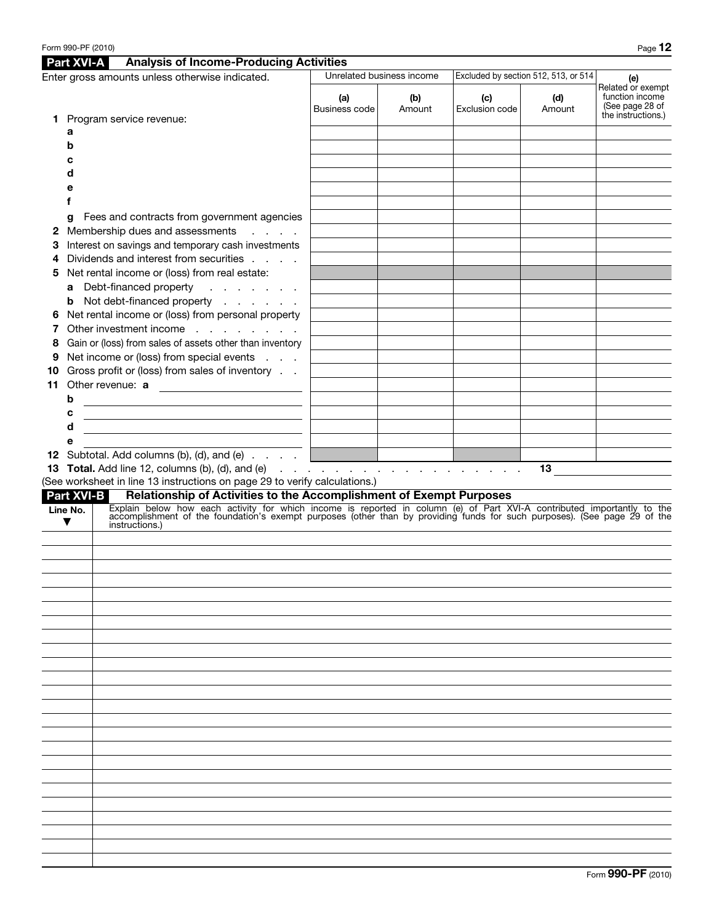|    | <b>Part XVI-A</b>                | <b>Analysis of Income-Producing Activities</b>                                                                                                                                                                                                                         |                      |                                                   |                       |                                      |                                                                               |
|----|----------------------------------|------------------------------------------------------------------------------------------------------------------------------------------------------------------------------------------------------------------------------------------------------------------------|----------------------|---------------------------------------------------|-----------------------|--------------------------------------|-------------------------------------------------------------------------------|
|    |                                  | Enter gross amounts unless otherwise indicated.                                                                                                                                                                                                                        |                      | Unrelated business income                         |                       | Excluded by section 512, 513, or 514 | (e)                                                                           |
|    |                                  |                                                                                                                                                                                                                                                                        | (a)<br>Business code | (b)<br>Amount                                     | (c)<br>Exclusion code | (d)<br>Amount                        | Related or exempt<br>function income<br>(See page 28 of<br>the instructions.) |
| а  |                                  | 1 Program service revenue:                                                                                                                                                                                                                                             |                      |                                                   |                       |                                      |                                                                               |
|    | b                                |                                                                                                                                                                                                                                                                        |                      |                                                   |                       |                                      |                                                                               |
|    |                                  |                                                                                                                                                                                                                                                                        |                      |                                                   |                       |                                      |                                                                               |
|    | d                                |                                                                                                                                                                                                                                                                        |                      |                                                   |                       |                                      |                                                                               |
|    | е                                |                                                                                                                                                                                                                                                                        |                      |                                                   |                       |                                      |                                                                               |
|    |                                  |                                                                                                                                                                                                                                                                        |                      |                                                   |                       |                                      |                                                                               |
|    | g                                | Fees and contracts from government agencies                                                                                                                                                                                                                            |                      |                                                   |                       |                                      |                                                                               |
|    |                                  | 2 Membership dues and assessments<br>and a state                                                                                                                                                                                                                       |                      |                                                   |                       |                                      |                                                                               |
| 3  |                                  | Interest on savings and temporary cash investments                                                                                                                                                                                                                     |                      |                                                   |                       |                                      |                                                                               |
|    |                                  | Dividends and interest from securities                                                                                                                                                                                                                                 |                      |                                                   |                       |                                      |                                                                               |
| 5. |                                  | Net rental income or (loss) from real estate:                                                                                                                                                                                                                          |                      |                                                   |                       |                                      |                                                                               |
|    |                                  | a Debt-financed property<br>and the contract of the                                                                                                                                                                                                                    |                      |                                                   |                       |                                      |                                                                               |
|    |                                  | <b>b</b> Not debt-financed property<br>6 Net rental income or (loss) from personal property                                                                                                                                                                            |                      |                                                   |                       |                                      |                                                                               |
| 7  |                                  | Other investment income                                                                                                                                                                                                                                                |                      |                                                   |                       |                                      |                                                                               |
| 8  |                                  | Gain or (loss) from sales of assets other than inventory                                                                                                                                                                                                               |                      |                                                   |                       |                                      |                                                                               |
| 9  |                                  | Net income or (loss) from special events                                                                                                                                                                                                                               |                      |                                                   |                       |                                      |                                                                               |
| 10 |                                  | Gross profit or (loss) from sales of inventory                                                                                                                                                                                                                         |                      |                                                   |                       |                                      |                                                                               |
| 11 |                                  | Other revenue: a                                                                                                                                                                                                                                                       |                      |                                                   |                       |                                      |                                                                               |
|    | b                                | <u> 1989 - Johann Barbara, martxa alemaniar a</u>                                                                                                                                                                                                                      |                      |                                                   |                       |                                      |                                                                               |
|    | c                                | <u> 1980 - Johann Barn, amerikansk politiker (d. 1980)</u>                                                                                                                                                                                                             |                      |                                                   |                       |                                      |                                                                               |
|    | d                                | <u> 1989 - Johann Barn, mars and de Brasilian (b. 1989)</u>                                                                                                                                                                                                            |                      |                                                   |                       |                                      |                                                                               |
|    | е                                |                                                                                                                                                                                                                                                                        |                      |                                                   |                       |                                      |                                                                               |
|    |                                  | 12 Subtotal. Add columns (b), (d), and (e)                                                                                                                                                                                                                             |                      | <u> 1989 - Johann Barnett, fransk politiker (</u> |                       |                                      |                                                                               |
|    |                                  | (See worksheet in line 13 instructions on page 29 to verify calculations.)                                                                                                                                                                                             |                      |                                                   |                       | $13 \quad -$                         |                                                                               |
|    | <b>Part XVI-B</b>                | Relationship of Activities to the Accomplishment of Exempt Purposes                                                                                                                                                                                                    |                      |                                                   |                       |                                      |                                                                               |
|    | Line No.<br>$\blacktriangledown$ | Explain below how each activity for which income is reported in column (e) of Part XVI-A contributed importantly to the<br>accomplishment of the foundation's exempt purposes (other than by providing funds for such purposes). (See page 29 of the<br>instructions.) |                      |                                                   |                       |                                      |                                                                               |
|    |                                  |                                                                                                                                                                                                                                                                        |                      |                                                   |                       |                                      |                                                                               |
|    |                                  |                                                                                                                                                                                                                                                                        |                      |                                                   |                       |                                      |                                                                               |
|    |                                  |                                                                                                                                                                                                                                                                        |                      |                                                   |                       |                                      |                                                                               |
|    |                                  |                                                                                                                                                                                                                                                                        |                      |                                                   |                       |                                      |                                                                               |
|    |                                  |                                                                                                                                                                                                                                                                        |                      |                                                   |                       |                                      |                                                                               |
|    |                                  |                                                                                                                                                                                                                                                                        |                      |                                                   |                       |                                      |                                                                               |
|    |                                  |                                                                                                                                                                                                                                                                        |                      |                                                   |                       |                                      |                                                                               |
|    |                                  |                                                                                                                                                                                                                                                                        |                      |                                                   |                       |                                      |                                                                               |
|    |                                  |                                                                                                                                                                                                                                                                        |                      |                                                   |                       |                                      |                                                                               |
|    |                                  |                                                                                                                                                                                                                                                                        |                      |                                                   |                       |                                      |                                                                               |
|    |                                  |                                                                                                                                                                                                                                                                        |                      |                                                   |                       |                                      |                                                                               |
|    |                                  |                                                                                                                                                                                                                                                                        |                      |                                                   |                       |                                      |                                                                               |
|    |                                  |                                                                                                                                                                                                                                                                        |                      |                                                   |                       |                                      |                                                                               |
|    |                                  |                                                                                                                                                                                                                                                                        |                      |                                                   |                       |                                      |                                                                               |
|    |                                  |                                                                                                                                                                                                                                                                        |                      |                                                   |                       |                                      |                                                                               |
|    |                                  |                                                                                                                                                                                                                                                                        |                      |                                                   |                       |                                      |                                                                               |
|    |                                  |                                                                                                                                                                                                                                                                        |                      |                                                   |                       |                                      |                                                                               |
|    |                                  |                                                                                                                                                                                                                                                                        |                      |                                                   |                       |                                      |                                                                               |
|    |                                  |                                                                                                                                                                                                                                                                        |                      |                                                   |                       |                                      |                                                                               |
|    |                                  |                                                                                                                                                                                                                                                                        |                      |                                                   |                       |                                      |                                                                               |
|    |                                  |                                                                                                                                                                                                                                                                        |                      |                                                   |                       |                                      |                                                                               |